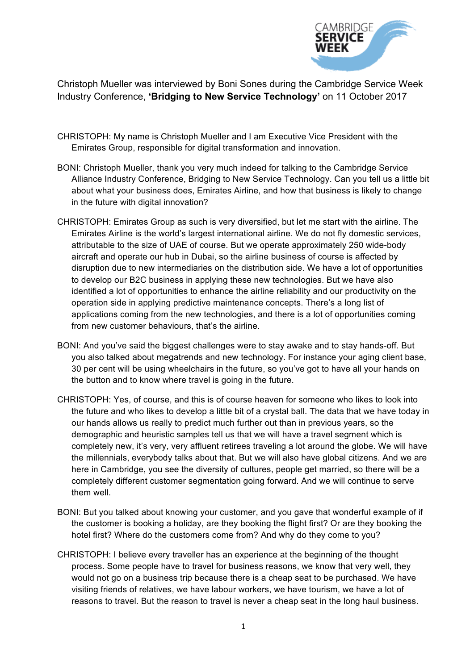

Christoph Mueller was interviewed by Boni Sones during the Cambridge Service Week Industry Conference, **'Bridging to New Service Technology'** on 11 October 2017

- CHRISTOPH: My name is Christoph Mueller and I am Executive Vice President with the Emirates Group, responsible for digital transformation and innovation.
- BONI: Christoph Mueller, thank you very much indeed for talking to the Cambridge Service Alliance Industry Conference, Bridging to New Service Technology. Can you tell us a little bit about what your business does, Emirates Airline, and how that business is likely to change in the future with digital innovation?
- CHRISTOPH: Emirates Group as such is very diversified, but let me start with the airline. The Emirates Airline is the world's largest international airline. We do not fly domestic services, attributable to the size of UAE of course. But we operate approximately 250 wide-body aircraft and operate our hub in Dubai, so the airline business of course is affected by disruption due to new intermediaries on the distribution side. We have a lot of opportunities to develop our B2C business in applying these new technologies. But we have also identified a lot of opportunities to enhance the airline reliability and our productivity on the operation side in applying predictive maintenance concepts. There's a long list of applications coming from the new technologies, and there is a lot of opportunities coming from new customer behaviours, that's the airline.
- BONI: And you've said the biggest challenges were to stay awake and to stay hands-off. But you also talked about megatrends and new technology. For instance your aging client base, 30 per cent will be using wheelchairs in the future, so you've got to have all your hands on the button and to know where travel is going in the future.
- CHRISTOPH: Yes, of course, and this is of course heaven for someone who likes to look into the future and who likes to develop a little bit of a crystal ball. The data that we have today in our hands allows us really to predict much further out than in previous years, so the demographic and heuristic samples tell us that we will have a travel segment which is completely new, it's very, very affluent retirees traveling a lot around the globe. We will have the millennials, everybody talks about that. But we will also have global citizens. And we are here in Cambridge, you see the diversity of cultures, people get married, so there will be a completely different customer segmentation going forward. And we will continue to serve them well.
- BONI: But you talked about knowing your customer, and you gave that wonderful example of if the customer is booking a holiday, are they booking the flight first? Or are they booking the hotel first? Where do the customers come from? And why do they come to you?
- CHRISTOPH: I believe every traveller has an experience at the beginning of the thought process. Some people have to travel for business reasons, we know that very well, they would not go on a business trip because there is a cheap seat to be purchased. We have visiting friends of relatives, we have labour workers, we have tourism, we have a lot of reasons to travel. But the reason to travel is never a cheap seat in the long haul business.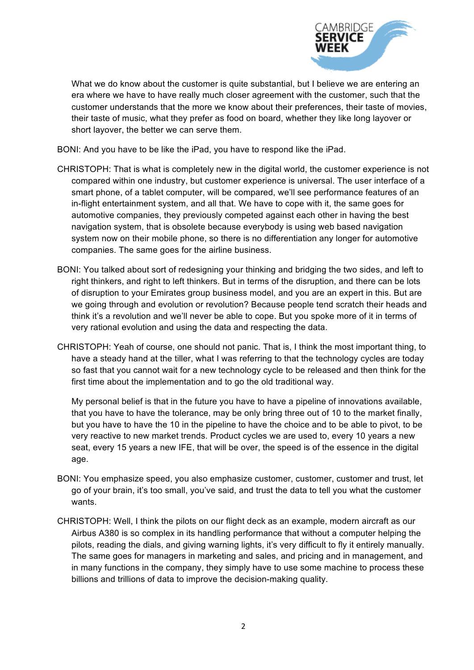

What we do know about the customer is quite substantial, but I believe we are entering an era where we have to have really much closer agreement with the customer, such that the customer understands that the more we know about their preferences, their taste of movies, their taste of music, what they prefer as food on board, whether they like long layover or short layover, the better we can serve them.

BONI: And you have to be like the iPad, you have to respond like the iPad.

- CHRISTOPH: That is what is completely new in the digital world, the customer experience is not compared within one industry, but customer experience is universal. The user interface of a smart phone, of a tablet computer, will be compared, we'll see performance features of an in-flight entertainment system, and all that. We have to cope with it, the same goes for automotive companies, they previously competed against each other in having the best navigation system, that is obsolete because everybody is using web based navigation system now on their mobile phone, so there is no differentiation any longer for automotive companies. The same goes for the airline business.
- BONI: You talked about sort of redesigning your thinking and bridging the two sides, and left to right thinkers, and right to left thinkers. But in terms of the disruption, and there can be lots of disruption to your Emirates group business model, and you are an expert in this. But are we going through and evolution or revolution? Because people tend scratch their heads and think it's a revolution and we'll never be able to cope. But you spoke more of it in terms of very rational evolution and using the data and respecting the data.
- CHRISTOPH: Yeah of course, one should not panic. That is, I think the most important thing, to have a steady hand at the tiller, what I was referring to that the technology cycles are today so fast that you cannot wait for a new technology cycle to be released and then think for the first time about the implementation and to go the old traditional way.

My personal belief is that in the future you have to have a pipeline of innovations available, that you have to have the tolerance, may be only bring three out of 10 to the market finally, but you have to have the 10 in the pipeline to have the choice and to be able to pivot, to be very reactive to new market trends. Product cycles we are used to, every 10 years a new seat, every 15 years a new IFE, that will be over, the speed is of the essence in the digital age.

- BONI: You emphasize speed, you also emphasize customer, customer, customer and trust, let go of your brain, it's too small, you've said, and trust the data to tell you what the customer wants.
- CHRISTOPH: Well, I think the pilots on our flight deck as an example, modern aircraft as our Airbus A380 is so complex in its handling performance that without a computer helping the pilots, reading the dials, and giving warning lights, it's very difficult to fly it entirely manually. The same goes for managers in marketing and sales, and pricing and in management, and in many functions in the company, they simply have to use some machine to process these billions and trillions of data to improve the decision-making quality.